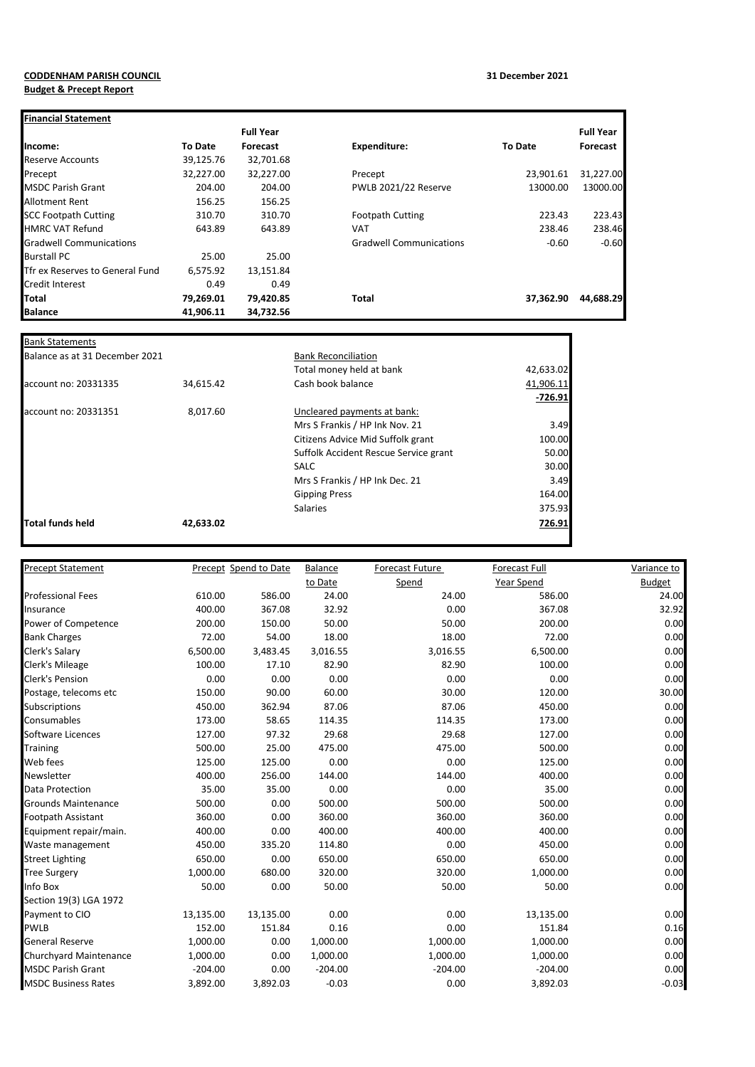## **CODDENHAM PARISH COUNCIL 31 December 2021 Budget & Precept Report**

| <b>Financial Statement</b>      |                |                  |                                |                |                  |
|---------------------------------|----------------|------------------|--------------------------------|----------------|------------------|
|                                 |                | <b>Full Year</b> |                                |                | <b>Full Year</b> |
| Income:                         | <b>To Date</b> | Forecast         | <b>Expenditure:</b>            | <b>To Date</b> | Forecast         |
| <b>Reserve Accounts</b>         | 39,125.76      | 32,701.68        |                                |                |                  |
| Precept                         | 32,227.00      | 32,227.00        | Precept                        | 23,901.61      | 31,227.00        |
| <b>IMSDC Parish Grant</b>       | 204.00         | 204.00           | PWLB 2021/22 Reserve           | 13000.00       | 13000.00         |
| Allotment Rent                  | 156.25         | 156.25           |                                |                |                  |
| <b>SCC Footpath Cutting</b>     | 310.70         | 310.70           | <b>Footpath Cutting</b>        | 223.43         | 223.43           |
| <b>HMRC VAT Refund</b>          | 643.89         | 643.89           | <b>VAT</b>                     | 238.46         | 238.46           |
| <b>Gradwell Communications</b>  |                |                  | <b>Gradwell Communications</b> | $-0.60$        | $-0.60$          |
| <b>Burstall PC</b>              | 25.00          | 25.00            |                                |                |                  |
| Tfr ex Reserves to General Fund | 6,575.92       | 13,151.84        |                                |                |                  |
| <b>Credit Interest</b>          | 0.49           | 0.49             |                                |                |                  |
| <b>Total</b>                    | 79,269.01      | 79,420.85        | <b>Total</b>                   | 37,362.90      | 44,688.29        |
| <b>Balance</b>                  | 41,906.11      | 34,732.56        |                                |                |                  |

| <b>Bank Statements</b>         |           |                                       |           |  |  |
|--------------------------------|-----------|---------------------------------------|-----------|--|--|
| Balance as at 31 December 2021 |           | <b>Bank Reconciliation</b>            |           |  |  |
|                                |           | Total money held at bank              | 42,633.02 |  |  |
| account no: 20331335           | 34,615.42 | Cash book balance                     | 41,906.11 |  |  |
|                                |           |                                       | $-726.91$ |  |  |
| account no: 20331351           | 8,017.60  | Uncleared payments at bank:           |           |  |  |
|                                |           | Mrs S Frankis / HP Ink Nov. 21        | 3.49      |  |  |
|                                |           | Citizens Advice Mid Suffolk grant     | 100.00    |  |  |
|                                |           | Suffolk Accident Rescue Service grant | 50.00     |  |  |
|                                |           | <b>SALC</b>                           | 30.00     |  |  |
|                                |           | Mrs S Frankis / HP Ink Dec. 21        | 3.49      |  |  |
|                                |           | <b>Gipping Press</b>                  | 164.00    |  |  |
|                                |           | <b>Salaries</b>                       | 375.93    |  |  |
| Total funds held               | 42,633.02 |                                       | 726.91    |  |  |
|                                |           |                                       |           |  |  |

| Precept Statement          |           | Precept Spend to Date | <b>Balance</b> | Forecast Future | <b>Forecast Full</b> | Variance to   |
|----------------------------|-----------|-----------------------|----------------|-----------------|----------------------|---------------|
|                            |           |                       | to Date        | Spend           | Year Spend           | <b>Budget</b> |
| <b>Professional Fees</b>   | 610.00    | 586.00                | 24.00          | 24.00           | 586.00               | 24.00         |
| Insurance                  | 400.00    | 367.08                | 32.92          | 0.00            | 367.08               | 32.92         |
| Power of Competence        | 200.00    | 150.00                | 50.00          | 50.00           | 200.00               | 0.00          |
| <b>Bank Charges</b>        | 72.00     | 54.00                 | 18.00          | 18.00           | 72.00                | 0.00          |
| Clerk's Salary             | 6,500.00  | 3,483.45              | 3,016.55       | 3,016.55        | 6,500.00             | 0.00          |
| Clerk's Mileage            | 100.00    | 17.10                 | 82.90          | 82.90           | 100.00               | 0.00          |
| <b>Clerk's Pension</b>     | 0.00      | 0.00                  | 0.00           | 0.00            | 0.00                 | 0.00          |
| Postage, telecoms etc      | 150.00    | 90.00                 | 60.00          | 30.00           | 120.00               | 30.00         |
| Subscriptions              | 450.00    | 362.94                | 87.06          | 87.06           | 450.00               | 0.00          |
| Consumables                | 173.00    | 58.65                 | 114.35         | 114.35          | 173.00               | 0.00          |
| Software Licences          | 127.00    | 97.32                 | 29.68          | 29.68           | 127.00               | 0.00          |
| <b>Training</b>            | 500.00    | 25.00                 | 475.00         | 475.00          | 500.00               | 0.00          |
| Web fees                   | 125.00    | 125.00                | 0.00           | 0.00            | 125.00               | 0.00          |
| Newsletter                 | 400.00    | 256.00                | 144.00         | 144.00          | 400.00               | 0.00          |
| <b>Data Protection</b>     | 35.00     | 35.00                 | 0.00           | 0.00            | 35.00                | 0.00          |
| <b>Grounds Maintenance</b> | 500.00    | 0.00                  | 500.00         | 500.00          | 500.00               | 0.00          |
| <b>Footpath Assistant</b>  | 360.00    | 0.00                  | 360.00         | 360.00          | 360.00               | 0.00          |
| Equipment repair/main.     | 400.00    | 0.00                  | 400.00         | 400.00          | 400.00               | 0.00          |
| Waste management           | 450.00    | 335.20                | 114.80         | 0.00            | 450.00               | 0.00          |
| <b>Street Lighting</b>     | 650.00    | 0.00                  | 650.00         | 650.00          | 650.00               | 0.00          |
| <b>Tree Surgery</b>        | 1,000.00  | 680.00                | 320.00         | 320.00          | 1,000.00             | 0.00          |
| Info Box                   | 50.00     | 0.00                  | 50.00          | 50.00           | 50.00                | 0.00          |
| Section 19(3) LGA 1972     |           |                       |                |                 |                      |               |
| Payment to CIO             | 13,135.00 | 13,135.00             | 0.00           | 0.00            | 13,135.00            | 0.00          |
| <b>PWLB</b>                | 152.00    | 151.84                | 0.16           | 0.00            | 151.84               | 0.16          |
| <b>General Reserve</b>     | 1,000.00  | 0.00                  | 1,000.00       | 1,000.00        | 1,000.00             | 0.00          |
| Churchyard Maintenance     | 1,000.00  | 0.00                  | 1,000.00       | 1,000.00        | 1,000.00             | 0.00          |
| <b>MSDC Parish Grant</b>   | $-204.00$ | 0.00                  | $-204.00$      | $-204.00$       | $-204.00$            | 0.00          |
| <b>MSDC Business Rates</b> | 3,892.00  | 3,892.03              | $-0.03$        | 0.00            | 3,892.03             | $-0.03$       |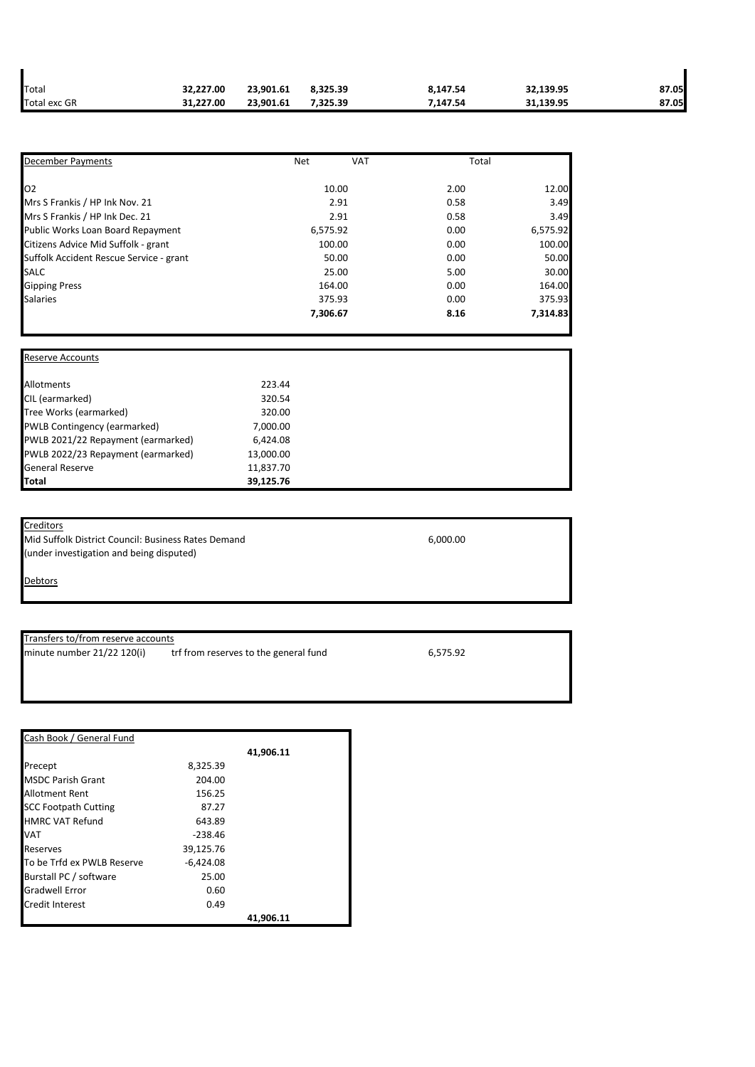| Total        | 32.227.00 | 23,901.61 | 8.325.39 | 8,147.54 | 32,139.95 | 87.05 |
|--------------|-----------|-----------|----------|----------|-----------|-------|
| Total exc GR | 31.227.00 | 23.901.61 | 7.325.39 | 7.147.54 | 31.139.95 | 87.05 |

| <b>December Payments</b>                | <b>Net</b> | <b>VAT</b> | Total |          |
|-----------------------------------------|------------|------------|-------|----------|
| O <sub>2</sub>                          | 10.00      |            | 2.00  | 12.00    |
| Mrs S Frankis / HP Ink Nov. 21          | 2.91       |            | 0.58  | 3.49     |
| Mrs S Frankis / HP Ink Dec. 21          | 2.91       |            | 0.58  | 3.49     |
| Public Works Loan Board Repayment       | 6,575.92   |            | 0.00  | 6,575.92 |
| Citizens Advice Mid Suffolk - grant     | 100.00     |            | 0.00  | 100.00   |
| Suffolk Accident Rescue Service - grant | 50.00      |            | 0.00  | 50.00    |
| <b>SALC</b>                             | 25.00      |            | 5.00  | 30.00    |
| <b>Gipping Press</b>                    | 164.00     |            | 0.00  | 164.00   |
| <b>Salaries</b>                         | 375.93     |            | 0.00  | 375.93   |
|                                         | 7,306.67   |            | 8.16  | 7,314.83 |

| <b>Reserve Accounts</b>            |           |  |
|------------------------------------|-----------|--|
| Allotments                         | 223.44    |  |
| CIL (earmarked)                    | 320.54    |  |
| Tree Works (earmarked)             | 320.00    |  |
| PWLB Contingency (earmarked)       | 7,000.00  |  |
| PWLB 2021/22 Repayment (earmarked) | 6,424.08  |  |
| PWLB 2022/23 Repayment (earmarked) | 13,000.00 |  |
| <b>General Reserve</b>             | 11,837.70 |  |
| Total                              | 39,125.76 |  |

**Creditors** Mid Suffolk District Council: Business Rates Demand 6,000.00 (under investigation and being disputed)

**Debtors** 

Transfers to/from reserve accounts

minute number  $21/22$  120(i) trf from reserves to the general fund  $6,575.92$ 

| Cash Book / General Fund    |             |           |
|-----------------------------|-------------|-----------|
|                             |             | 41,906.11 |
| Precept                     | 8,325.39    |           |
| <b>MSDC Parish Grant</b>    | 204.00      |           |
| Allotment Rent              | 156.25      |           |
| <b>SCC Footpath Cutting</b> | 87.27       |           |
| <b>HMRC VAT Refund</b>      | 643.89      |           |
| VAT                         | $-238.46$   |           |
| Reserves                    | 39,125.76   |           |
| To be Trfd ex PWLB Reserve  | $-6,424.08$ |           |
| Burstall PC / software      | 25.00       |           |
| <b>Gradwell Error</b>       | 0.60        |           |
| Credit Interest             | 0.49        |           |
|                             |             | 41.906.11 |